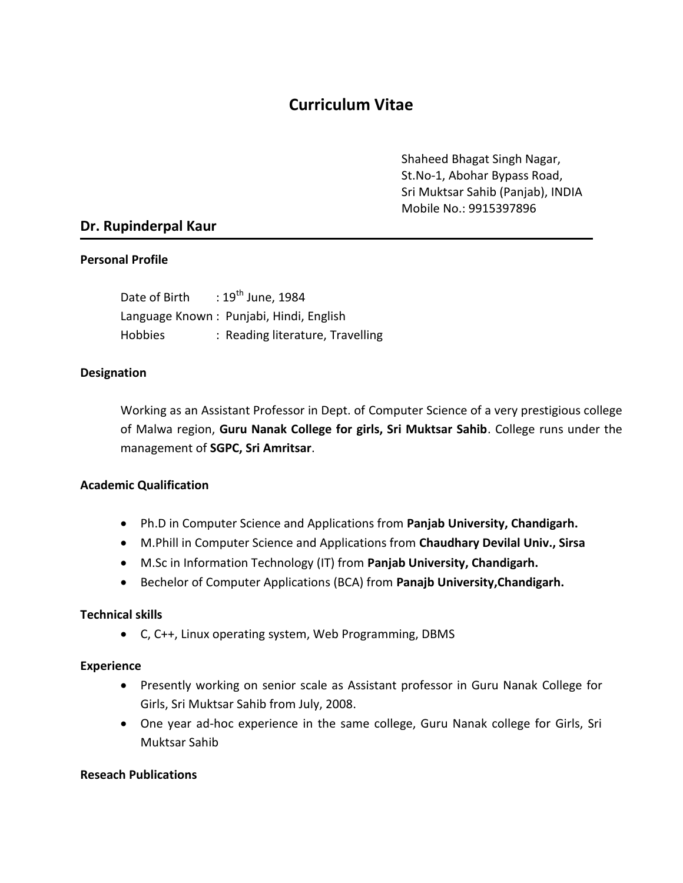# **Curriculum Vitae**

Shaheed Bhagat Singh Nagar, St.No-1, Abohar Bypass Road, Sri Muktsar Sahib (Panjab), INDIA Mobile No.: 9915397896

## **Dr. Rupinderpal Kaur**

#### **Personal Profile**

Date of Birth  $: 19^{th}$  June, 1984 Language Known : Punjabi, Hindi, English Hobbies : Reading literature, Travelling

#### **Designation**

Working as an Assistant Professor in Dept. of Computer Science of a very prestigious college of Malwa region, **Guru Nanak College for girls, Sri Muktsar Sahib**. College runs under the management of **SGPC, Sri Amritsar**.

#### **Academic Qualification**

- Ph.D in Computer Science and Applications from **Panjab University, Chandigarh.**
- M.Phill in Computer Science and Applications from **Chaudhary Devilal Univ., Sirsa**
- M.Sc in Information Technology (IT) from **Panjab University, Chandigarh.**
- Bechelor of Computer Applications (BCA) from **Panajb University,Chandigarh.**

#### **Technical skills**

C, C++, Linux operating system, Web Programming, DBMS

#### **Experience**

- Presently working on senior scale as Assistant professor in Guru Nanak College for Girls, Sri Muktsar Sahib from July, 2008.
- One year ad-hoc experience in the same college, Guru Nanak college for Girls, Sri Muktsar Sahib

#### **Reseach Publications**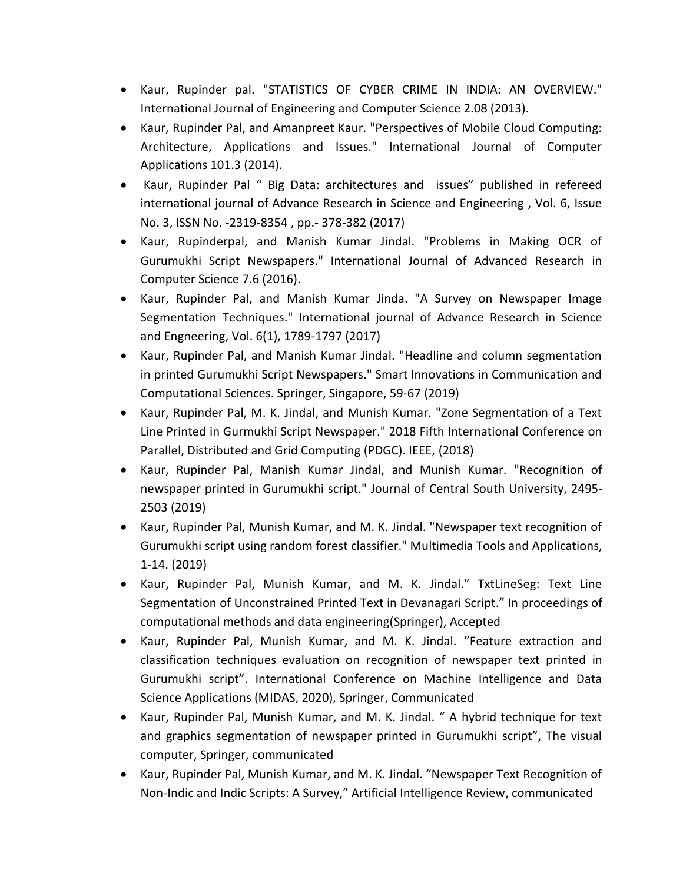- Kaur, Rupinder pal. "STATISTICS OF CYBER CRIME IN INDIA: AN OVERVIEW." International Journal of Engineering and Computer Science 2.08 (2013).
- Kaur, Rupinder Pal, and Amanpreet Kaur. "Perspectives of Mobile Cloud Computing: Architecture, Applications and Issues." International Journal of Computer Applications 101.3 (2014).
- Kaur, Rupinder Pal " Big Data: architectures and issues" published in refereed international journal of Advance Research in Science and Engineering , Vol. 6, Issue No. 3, ISSN No. -2319-8354 , pp.- 378-382 (2017)
- Kaur, Rupinderpal, and Manish Kumar Jindal. "Problems in Making OCR of Gurumukhi Script Newspapers." International Journal of Advanced Research in Computer Science 7.6 (2016).
- Kaur, Rupinder Pal, and Manish Kumar Jinda. "A Survey on Newspaper Image Segmentation Techniques." International journal of Advance Research in Science and Engneering, Vol. 6(1), 1789-1797 (2017)
- Kaur, Rupinder Pal, and Manish Kumar Jindal. "Headline and column segmentation in printed Gurumukhi Script Newspapers." Smart Innovations in Communication and Computational Sciences. Springer, Singapore, 59-67 (2019)
- Kaur, Rupinder Pal, M. K. Jindal, and Munish Kumar. "Zone Segmentation of a Text Line Printed in Gurmukhi Script Newspaper." 2018 Fifth International Conference on Parallel, Distributed and Grid Computing (PDGC). IEEE, (2018)
- Kaur, Rupinder Pal, Manish Kumar Jindal, and Munish Kumar. "Recognition of newspaper printed in Gurumukhi script." Journal of Central South University, 2495- 2503 (2019)
- Kaur, Rupinder Pal, Munish Kumar, and M. K. Jindal. "Newspaper text recognition of Gurumukhi script using random forest classifier." Multimedia Tools and Applications, 1-14. (2019)
- Kaur, Rupinder Pal, Munish Kumar, and M. K. Jindal." TxtLineSeg: Text Line Segmentation of Unconstrained Printed Text in Devanagari Script." In proceedings of computational methods and data engineering(Springer), Accepted
- Kaur, Rupinder Pal, Munish Kumar, and M. K. Jindal. "Feature extraction and classification techniques evaluation on recognition of newspaper text printed in Gurumukhi script". International Conference on Machine Intelligence and Data Science Applications (MIDAS, 2020), Springer, Communicated
- Kaur, Rupinder Pal, Munish Kumar, and M. K. Jindal. " A hybrid technique for text and graphics segmentation of newspaper printed in Gurumukhi script", The visual computer, Springer, communicated
- Kaur, Rupinder Pal, Munish Kumar, and M. K. Jindal. "Newspaper Text Recognition of Non-Indic and Indic Scripts: A Survey," Artificial Intelligence Review, communicated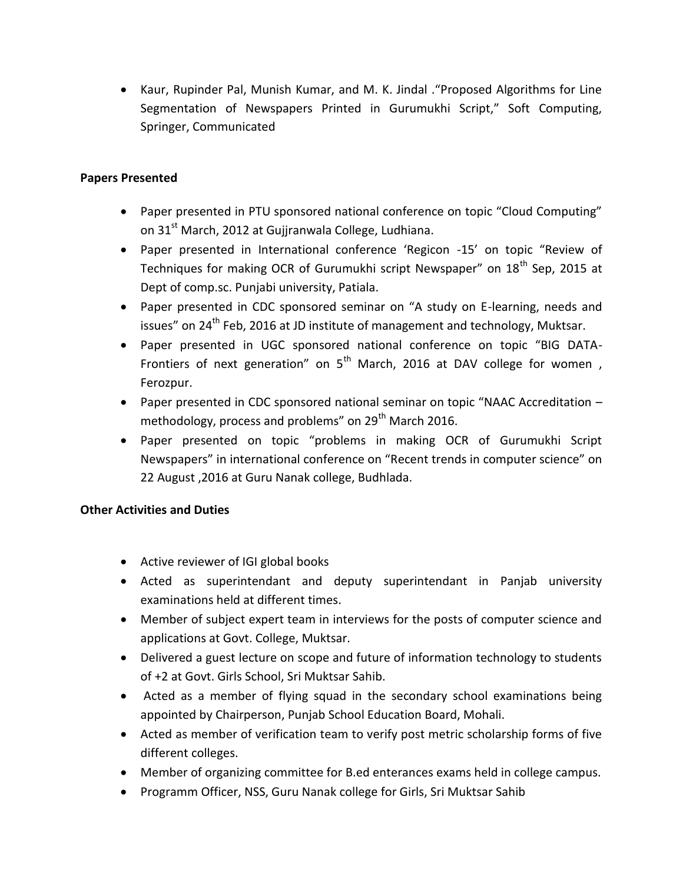Kaur, Rupinder Pal, Munish Kumar, and M. K. Jindal ."Proposed Algorithms for Line Segmentation of Newspapers Printed in Gurumukhi Script," Soft Computing, Springer, Communicated

## **Papers Presented**

- Paper presented in PTU sponsored national conference on topic "Cloud Computing" on 31<sup>st</sup> March, 2012 at Gujjranwala College, Ludhiana.
- Paper presented in International conference 'Regicon -15' on topic "Review of Techniques for making OCR of Gurumukhi script Newspaper" on 18<sup>th</sup> Sep, 2015 at Dept of comp.sc. Punjabi university, Patiala.
- Paper presented in CDC sponsored seminar on "A study on E-learning, needs and issues" on 24<sup>th</sup> Feb, 2016 at JD institute of management and technology, Muktsar.
- Paper presented in UGC sponsored national conference on topic "BIG DATA-Frontiers of next generation" on  $5<sup>th</sup>$  March, 2016 at DAV college for women, Ferozpur.
- Paper presented in CDC sponsored national seminar on topic "NAAC Accreditation methodology, process and problems" on  $29<sup>th</sup>$  March 2016.
- Paper presented on topic "problems in making OCR of Gurumukhi Script Newspapers" in international conference on "Recent trends in computer science" on 22 August ,2016 at Guru Nanak college, Budhlada.

### **Other Activities and Duties**

- Active reviewer of IGI global books
- Acted as superintendant and deputy superintendant in Panjab university examinations held at different times.
- Member of subject expert team in interviews for the posts of computer science and applications at Govt. College, Muktsar.
- Delivered a guest lecture on scope and future of information technology to students of +2 at Govt. Girls School, Sri Muktsar Sahib.
- Acted as a member of flying squad in the secondary school examinations being appointed by Chairperson, Punjab School Education Board, Mohali.
- Acted as member of verification team to verify post metric scholarship forms of five different colleges.
- Member of organizing committee for B.ed enterances exams held in college campus.
- Programm Officer, NSS, Guru Nanak college for Girls, Sri Muktsar Sahib